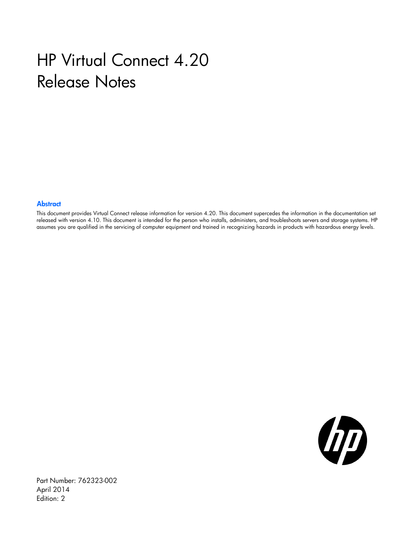# HP Virtual Connect 4.20 Release Notes

#### **Abstract**

This document provides Virtual Connect release information for version 4.20. This document supercedes the information in the documentation set released with version 4.10. This document is intended for the person who installs, administers, and troubleshoots servers and storage systems. HP assumes you are qualified in the servicing of computer equipment and trained in recognizing hazards in products with hazardous energy levels.



Part Number: 762323-002 April 2014 Edition: 2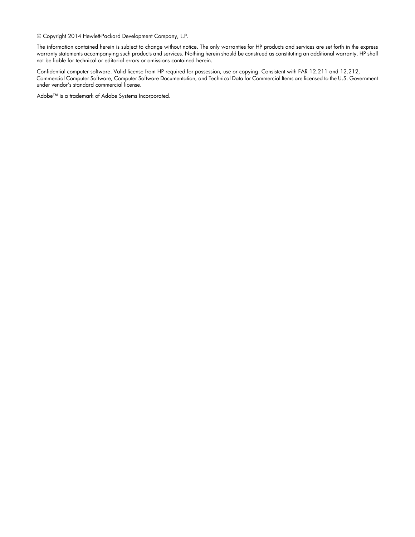© Copyright 2014 Hewlett-Packard Development Company, L.P.

The information contained herein is subject to change without notice. The only warranties for HP products and services are set forth in the express warranty statements accompanying such products and services. Nothing herein should be construed as constituting an additional warranty. HP shall not be liable for technical or editorial errors or omissions contained herein.

Confidential computer software. Valid license from HP required for possession, use or copying. Consistent with FAR 12.211 and 12.212, Commercial Computer Software, Computer Software Documentation, and Technical Data for Commercial Items are licensed to the U.S. Government under vendor's standard commercial license.

Adobe™ is a trademark of Adobe Systems Incorporated.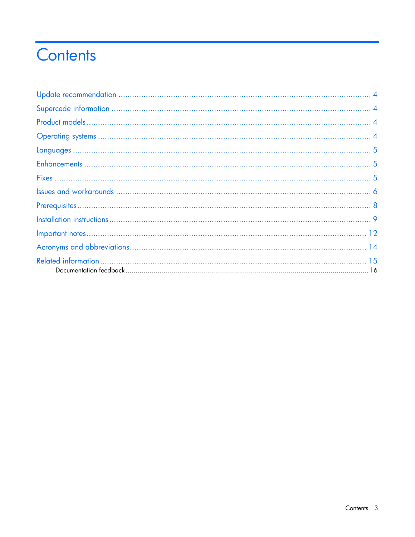# Contents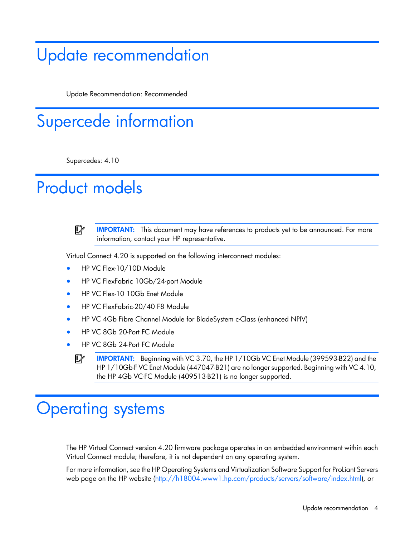## <span id="page-3-0"></span>Update recommendation

Update Recommendation: Recommended

# Supercede information

Supercedes: 4.10

## Product models



**IMPORTANT:** This document may have references to products yet to be announced. For more information, contact your HP representative.

Virtual Connect 4.20 is supported on the following interconnect modules:

- HP VC Flex-10/10D Module
- HP VC FlexFabric 10Gb/24-port Module
- HP VC Flex-10 10Gb Enet Module
- HP VC FlexFabric-20/40 F8 Module
- HP VC 4Gb Fibre Channel Module for BladeSystem c-Class (enhanced NPIV)
- HP VC 8Gb 20-Port FC Module
- HP VC 8Gb 24-Port FC Module
	- $\mathbb{I}$ IMPORTANT: Beginning with VC 3.70, the HP 1/10Gb VC Enet Module (399593-B22) and the HP 1/10Gb-F VC Enet Module (447047-B21) are no longer supported. Beginning with VC 4.10, the HP 4Gb VC-FC Module (409513-B21) is no longer supported.

### Operating systems

The HP Virtual Connect version 4.20 firmware package operates in an embedded environment within each Virtual Connect module; therefore, it is not dependent on any operating system.

For more information, see the HP Operating Systems and Virtualization Software Support for ProLiant Servers web page on the HP website [\(http://h18004.www1.hp.com/products/servers/software/index.html\)](http://h18004.www1.hp.com/products/servers/software/index.html), or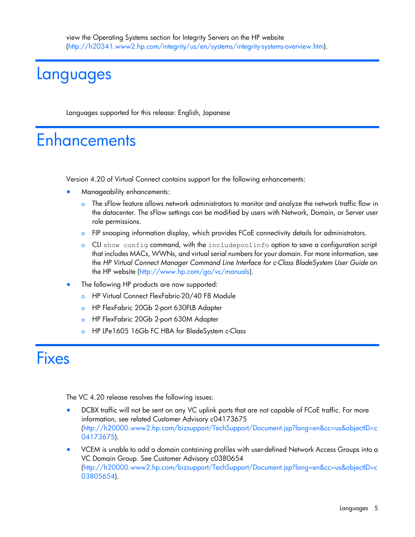### <span id="page-4-0"></span>Languages

Languages supported for this release: English, Japanese

## **Enhancements**

Version 4.20 of Virtual Connect contains support for the following enhancements:

- Manageability enhancements:
	- The sFlow feature allows network administrators to monitor and analyze the network traffic flow in the datacenter. The sFlow settings can be modified by users with Network, Domain, or Server user role permissions.
	- o FIP snooping information display, which provides FCoE connectivity details for administrators.
	- o CLI show config command, with the includepoolinfo option to save a configuration script that includes MACs, WWNs, and virtual serial numbers for your domain. For more information, see the *HP Virtual Connect Manager Command Line Interface for c-Class BladeSystem User Guide* on the HP website [\(http://www.hp.com/go/vc/manuals\)](http://www.hp.com/go/vc/manuals).
- The following HP products are now supported:
	- o HP Virtual Connect FlexFabric-20/40 F8 Module
	- o HP FlexFabric 20Gb 2-port 630FLB Adapter
	- o HP FlexFabric 20Gb 2-port 630M Adapter
	- HP LPe1605 16Gb FC HBA for BladeSystem c-Class

### **Fixes**

The VC 4.20 release resolves the following issues:

- DCBX traffic will not be sent on any VC uplink ports that are not capable of FCoE traffic. For more information, see related Customer Advisory c04173675 [\(http://h20000.www2.hp.com/bizsupport/TechSupport/Document.jsp?lang=en&cc=us&objectID=c](http://h20000.www2.hp.com/bizsupport/TechSupport/Document.jsp?lang=en&cc=us&objectID=c04173675) [04173675\)](http://h20000.www2.hp.com/bizsupport/TechSupport/Document.jsp?lang=en&cc=us&objectID=c04173675).
- VCEM is unable to add a domain containing profiles with user-defined Network Access Groups into a VC Domain Group. See Customer Advisory c0380654 [\(http://h20000.www2.hp.com/bizsupport/TechSupport/Document.jsp?lang=en&cc=us&objectID=c](http://h20000.www2.hp.com/bizsupport/TechSupport/Document.jsp?lang=en&cc=us&objectID=c03805654) [03805654\)](http://h20000.www2.hp.com/bizsupport/TechSupport/Document.jsp?lang=en&cc=us&objectID=c03805654).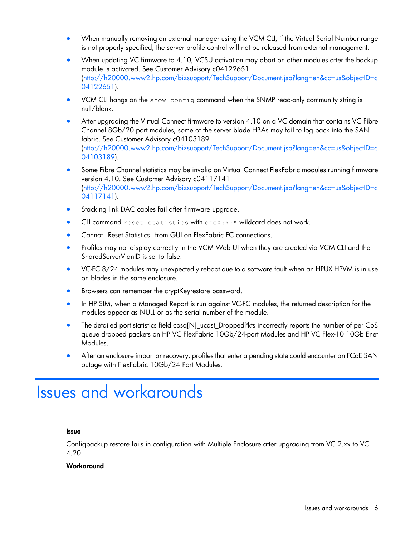- <span id="page-5-0"></span>• When manually removing an external-manager using the VCM CLI, if the Virtual Serial Number range is not properly specified, the server profile control will not be released from external management.
- When updating VC firmware to 4.10, VCSU activation may abort on other modules after the backup module is activated. See Customer Advisory c04122651 [\(http://h20000.www2.hp.com/bizsupport/TechSupport/Document.jsp?lang=en&cc=us&objectID=c](http://h20000.www2.hp.com/bizsupport/TechSupport/Document.jsp?lang=en&cc=us&objectID=c04122651) [04122651\)](http://h20000.www2.hp.com/bizsupport/TechSupport/Document.jsp?lang=en&cc=us&objectID=c04122651).
- VCM CLI hangs on the show config command when the SNMP read-only community string is null/blank.
- After upgrading the Virtual Connect firmware to version 4.10 on a VC domain that contains VC Fibre Channel 8Gb/20 port modules, some of the server blade HBAs may fail to log back into the SAN fabric. See Customer Advisory c04103189 [\(http://h20000.www2.hp.com/bizsupport/TechSupport/Document.jsp?lang=en&cc=us&objectID=c](http://h20000.www2.hp.com/bizsupport/TechSupport/Document.jsp?lang=en&cc=us&objectID=c04103189) [04103189\)](http://h20000.www2.hp.com/bizsupport/TechSupport/Document.jsp?lang=en&cc=us&objectID=c04103189).
- Some Fibre Channel statistics may be invalid on Virtual Connect FlexFabric modules running firmware version 4.10. See Customer Advisory c04117141 [\(http://h20000.www2.hp.com/bizsupport/TechSupport/Document.jsp?lang=en&cc=us&objectID=c](http://h20000.www2.hp.com/bizsupport/TechSupport/Document.jsp?lang=en&cc=us&objectID=c04117141) [04117141\)](http://h20000.www2.hp.com/bizsupport/TechSupport/Document.jsp?lang=en&cc=us&objectID=c04117141).
- Stacking link DAC cables fail after firmware upgrade.
- CLI command reset statistics with encX: Y: \* wildcard does not work.
- Cannot "Reset Statistics" from GUI on FlexFabric FC connections.
- Profiles may not display correctly in the VCM Web UI when they are created via VCM CLI and the SharedServerVlanID is set to false.
- VC-FC 8/24 modules may unexpectedly reboot due to a software fault when an HPUX HPVM is in use on blades in the same enclosure.
- Browsers can remember the cryptKeyrestore password.
- In HP SIM, when a Managed Report is run against VC-FC modules, the returned description for the modules appear as NULL or as the serial number of the module.
- The detailed port statistics field cosq[N]\_ucast\_DroppedPkts incorrectly reports the number of per CoS queue dropped packets on HP VC FlexFabric 10Gb/24-port Modules and HP VC Flex-10 10Gb Enet Modules.
- After an enclosure import or recovery, profiles that enter a pending state could encounter an FCoE SAN outage with FlexFabric 10Gb/24 Port Modules.

### Issues and workarounds

#### Issue

Configbackup restore fails in configuration with Multiple Enclosure after upgrading from VC 2.xx to VC 4.20.

#### **Workaround**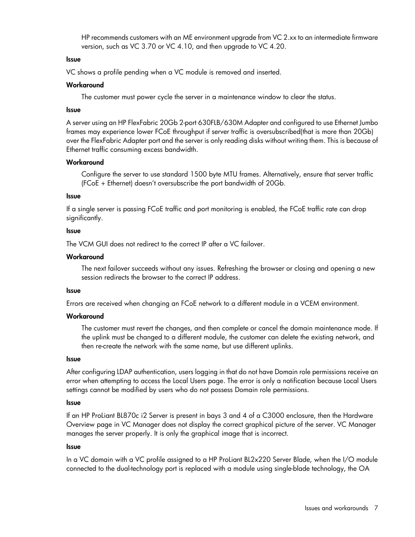HP recommends customers with an ME environment upgrade from VC 2.xx to an intermediate firmware version, such as VC 3.70 or VC 4.10, and then upgrade to VC 4.20.

#### Issue

VC shows a profile pending when a VC module is removed and inserted.

#### **Workaround**

The customer must power cycle the server in a maintenance window to clear the status.

#### Issue

A server using an HP FlexFabric 20Gb 2-port 630FLB/630M Adapter and configured to use Ethernet Jumbo frames may experience lower FCoE throughput if server traffic is oversubscribed(that is more than 20Gb) over the FlexFabric Adapter port and the server is only reading disks without writing them. This is because of Ethernet traffic consuming excess bandwidth.

#### **Workaround**

Configure the server to use standard 1500 byte MTU frames. Alternatively, ensure that server traffic (FCoE + Ethernet) doesn't oversubscribe the port bandwidth of 20Gb.

#### Issue

If a single server is passing FCoE traffic and port monitoring is enabled, the FCoE traffic rate can drop significantly.

#### **Issue**

The VCM GUI does not redirect to the correct IP after a VC failover.

#### **Workaround**

The next failover succeeds without any issues. Refreshing the browser or closing and opening a new session redirects the browser to the correct IP address.

#### Issue

Errors are received when changing an FCoE network to a different module in a VCEM environment.

#### **Workaround**

The customer must revert the changes, and then complete or cancel the domain maintenance mode. If the uplink must be changed to a different module, the customer can delete the existing network, and then re-create the network with the same name, but use different uplinks.

#### Issue

After configuring LDAP authentication, users logging in that do not have Domain role permissions receive an error when attempting to access the Local Users page. The error is only a notification because Local Users settings cannot be modified by users who do not possess Domain role permissions.

#### Issue

If an HP ProLiant BL870c i2 Server is present in bays 3 and 4 of a C3000 enclosure, then the Hardware Overview page in VC Manager does not display the correct graphical picture of the server. VC Manager manages the server properly. It is only the graphical image that is incorrect.

#### Issue

In a VC domain with a VC profile assigned to a HP ProLiant BL2x220 Server Blade, when the I/O module connected to the dual-technology port is replaced with a module using single-blade technology, the OA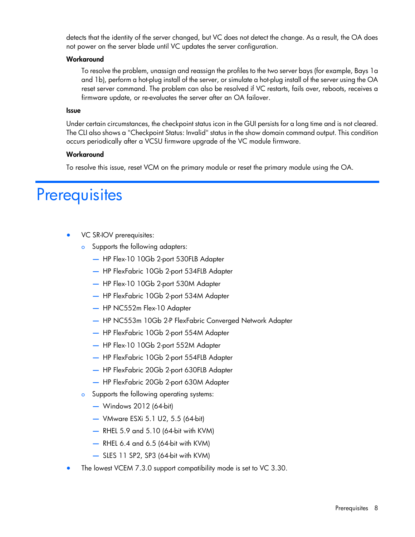<span id="page-7-0"></span>detects that the identity of the server changed, but VC does not detect the change. As a result, the OA does not power on the server blade until VC updates the server configuration.

#### **Workaround**

To resolve the problem, unassign and reassign the profiles to the two server bays (for example, Bays 1a and 1b), perform a hot-plug install of the server, or simulate a hot-plug install of the server using the OA reset server command. The problem can also be resolved if VC restarts, fails over, reboots, receives a firmware update, or re-evaluates the server after an OA failover.

#### Issue

Under certain circumstances, the checkpoint status icon in the GUI persists for a long time and is not cleared. The CLI also shows a "Checkpoint Status: Invalid" status in the show domain command output. This condition occurs periodically after a VCSU firmware upgrade of the VC module firmware.

#### **Workaround**

To resolve this issue, reset VCM on the primary module or reset the primary module using the OA.

### **Prerequisites**

- VC SR-IOV prerequisites:
	- **o** Supports the following adapters:
		- HP Flex-10 10Gb 2-port 530FLB Adapter
		- HP FlexFabric 10Gb 2-port 534FLB Adapter
		- HP Flex-10 10Gb 2-port 530M Adapter
		- HP FlexFabric 10Gb 2-port 534M Adapter
		- HP NC552m Flex-10 Adapter
		- HP NC553m 10Gb 2-P FlexFabric Converged Network Adapter
		- HP FlexFabric 10Gb 2-port 554M Adapter
		- HP Flex-10 10Gb 2-port 552M Adapter
		- HP FlexFabric 10Gb 2-port 554FLB Adapter
		- HP FlexFabric 20Gb 2-port 630FLB Adapter
		- HP FlexFabric 20Gb 2-port 630M Adapter
	- o Supports the following operating systems:
		- Windows 2012 (64-bit)
		- VMware ESXi 5.1 U2, 5.5 (64-bit)
		- RHEL 5.9 and 5.10 (64-bit with KVM)
		- RHEL 6.4 and 6.5 (64-bit with KVM)
		- SLES 11 SP2, SP3 (64-bit with KVM)
- The lowest VCEM 7.3.0 support compatibility mode is set to VC 3.30.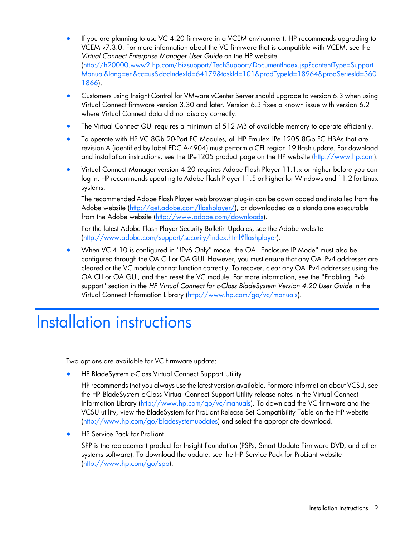- <span id="page-8-0"></span>• If you are planning to use VC 4.20 firmware in a VCEM environment, HP recommends upgrading to VCEM v7.3.0. For more information about the VC firmware that is compatible with VCEM, see the *Virtual Connect Enterprise Manager User Guide* on the HP website [\(http://h20000.www2.hp.com/bizsupport/TechSupport/DocumentIndex.jsp?contentType=Support](http://h20000.www2.hp.com/bizsupport/TechSupport/DocumentIndex.jsp?contentType=SupportManual&lang=en&cc=us&docIndexId=64179&taskId=101&prodTypeId=18964&prodSeriesId=3601866) [Manual&lang=en&cc=us&docIndexId=64179&taskId=101&prodTypeId=18964&prodSeriesId=360](http://h20000.www2.hp.com/bizsupport/TechSupport/DocumentIndex.jsp?contentType=SupportManual&lang=en&cc=us&docIndexId=64179&taskId=101&prodTypeId=18964&prodSeriesId=3601866) [1866\)](http://h20000.www2.hp.com/bizsupport/TechSupport/DocumentIndex.jsp?contentType=SupportManual&lang=en&cc=us&docIndexId=64179&taskId=101&prodTypeId=18964&prodSeriesId=3601866).
- Customers using Insight Control for VMware vCenter Server should upgrade to version 6.3 when using Virtual Connect firmware version 3.30 and later. Version 6.3 fixes a known issue with version 6.2 where Virtual Connect data did not display correctly.
- The Virtual Connect GUI requires a minimum of 512 MB of available memory to operate efficiently.
- To operate with HP VC 8Gb 20-Port FC Modules, all HP Emulex LPe 1205 8Gb FC HBAs that are revision A (identified by label EDC A-4904) must perform a CFL region 19 flash update. For download and installation instructions, see the LPe1205 product page on the HP website [\(http://www.hp.com\)](http://www.hp.com/).
- Virtual Connect Manager version 4.20 requires Adobe Flash Player 11.1.x or higher before you can log in. HP recommends updating to Adobe Flash Player 11.5 or higher for Windows and 11.2 for Linux systems.

The recommended Adobe Flash Player web browser plug-in can be downloaded and installed from the Adobe website [\(http://get.adobe.com/flashplayer/\)](http://get.adobe.com/flashplayer/), or downloaded as a standalone executable from the Adobe website [\(http://www.adobe.com/downloads\)](http://www.adobe.com/downloads).

For the latest Adobe Flash Player Security Bulletin Updates, see the Adobe website [\(http://www.adobe.com/support/security/index.html#flashplayer\)](http://www.adobe.com/support/security/index.html#flashplayer).

• When VC 4.10 is configured in "IPv6 Only" mode, the OA "Enclosure IP Mode" must also be configured through the OA CLI or OA GUI. However, you must ensure that any OA IPv4 addresses are cleared or the VC module cannot function correctly. To recover, clear any OA IPv4 addresses using the OA CLI or OA GUI, and then reset the VC module. For more information, see the "Enabling IPv6 support" section in the *HP Virtual Connect for c-Class BladeSystem Version 4.20 User Guide* in the Virtual Connect Information Library [\(http://www.hp.com/go/vc/manuals\)](http://www.hp.com/go/vc/manuals).

### Installation instructions

Two options are available for VC firmware update:

• HP BladeSystem c-Class Virtual Connect Support Utility

HP recommends that you always use the latest version available. For more information about VCSU, see the HP BladeSystem c-Class Virtual Connect Support Utility release notes in the Virtual Connect Information Library [\(http://www.hp.com/go/vc/manuals\)](http://www.hp.com/go/vc/manuals). To download the VC firmware and the VCSU utility, view the BladeSystem for ProLiant Release Set Compatibility Table on the HP website [\(http://www.hp.com/go/bladesystemupdates\)](http://www.hp.com/go/bladesystemupdates) and select the appropriate download.

• HP Service Pack for ProLiant

SPP is the replacement product for Insight Foundation (PSPs, Smart Update Firmware DVD, and other systems software). To download the update, see the HP Service Pack for ProLiant website [\(http://www.hp.com/go/spp\)](http://www.hp.com/go/spp).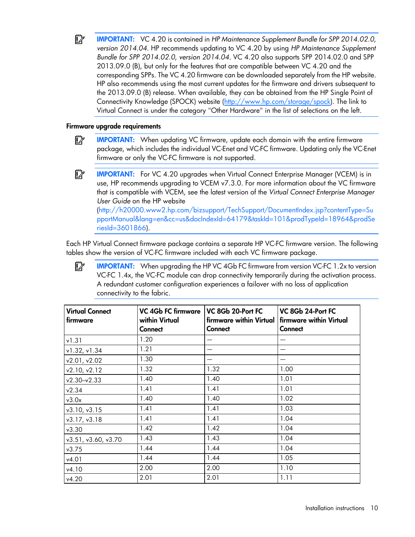$\mathbb{I}^n$ IMPORTANT: VC 4.20 is contained in *HP Maintenance Supplement Bundle for SPP 2014.02.0, version 2014.04*. HP recommends updating to VC 4.20 by using *HP Maintenance Supplement Bundle for SPP 2014.02.0, version 2014.04.* VC 4.20 also supports SPP 2014.02.0 and SPP 2013.09.0 (B), but only for the features that are compatible between VC 4.20 and the corresponding SPPs. The VC 4.20 firmware can be downloaded separately from the HP website. HP also recommends using the most current updates for the firmware and drivers subsequent to the 2013.09.0 (B) release. When available, they can be obtained from the HP Single Point of Connectivity Knowledge (SPOCK) website [\(http://www.hp.com/storage/spock\)](http://www.hp.com/storage/spock). The link to Virtual Connect is under the category "Other Hardware" in the list of selections on the left.

#### Firmware upgrade requirements

- $\mathbb{Z}$ IMPORTANT: When updating VC firmware, update each domain with the entire firmware package, which includes the individual VC-Enet and VC-FC firmware. Updating only the VC-Enet firmware or only the VC-FC firmware is not supported.
- $\mathbb{Z}$ **IMPORTANT:** For VC 4.20 upgrades when Virtual Connect Enterprise Manager (VCEM) is in use, HP recommends upgrading to VCEM v7.3.0. For more information about the VC firmware that is compatible with VCEM, see the latest version of the *Virtual Connect Enterprise Manager User Guide* on the HP website [\(http://h20000.www2.hp.com/bizsupport/TechSupport/DocumentIndex.jsp?contentType=Su](http://h20000.www2.hp.com/bizsupport/TechSupport/DocumentIndex.jsp?contentType=SupportManual&lang=en&cc=us&docIndexId=64179&taskId=101&prodTypeId=18964&prodSeriesId=3601866) [pportManual&lang=en&cc=us&docIndexId=64179&taskId=101&prodTypeId=18964&prodSe](http://h20000.www2.hp.com/bizsupport/TechSupport/DocumentIndex.jsp?contentType=SupportManual&lang=en&cc=us&docIndexId=64179&taskId=101&prodTypeId=18964&prodSeriesId=3601866)

[riesId=3601866\)](http://h20000.www2.hp.com/bizsupport/TechSupport/DocumentIndex.jsp?contentType=SupportManual&lang=en&cc=us&docIndexId=64179&taskId=101&prodTypeId=18964&prodSeriesId=3601866).

Each HP Virtual Connect firmware package contains a separate HP VC-FC firmware version. The following tables show the version of VC-FC firmware included with each VC firmware package.

IMPORTANT: When upgrading the HP VC 4Gb FC firmware from version VC-FC 1.2x to version  $\mathbb{Z}$ VC-FC 1.4x, the VC-FC module can drop connectivity temporarily during the activation process. A redundant customer configuration experiences a failover with no loss of application connectivity to the fabric.

| <b>Virtual Connect</b><br>firmware | <b>VC 4Gb FC firmware</b><br>within Virtual<br><b>Connect</b> | VC 8Gb 20-Port FC<br>Connect | VC 8Gb 24-Port FC<br>firmware within Virtual   firmware within Virtual<br><b>Connect</b> |  |  |
|------------------------------------|---------------------------------------------------------------|------------------------------|------------------------------------------------------------------------------------------|--|--|
| v1.31                              | 1.20                                                          |                              |                                                                                          |  |  |
| v1.32, v1.34                       | 1.21                                                          |                              |                                                                                          |  |  |
| v2.01, v2.02                       | 1.30                                                          |                              |                                                                                          |  |  |
| v2.10, v2.12                       | 1.32                                                          | 1.32                         | 1.00                                                                                     |  |  |
| $v2.30-v2.33$                      | 1.40                                                          | 1.40                         | 1.01                                                                                     |  |  |
| v2.34                              | 1.41                                                          | 1.41                         | 1.01                                                                                     |  |  |
| v3.0x                              | 1.40                                                          | 1.40                         | 1.02                                                                                     |  |  |
| v3.10, v3.15                       | 1.41                                                          | 1.41                         | 1.03                                                                                     |  |  |
| v3.17, v3.18                       | 1.41                                                          | 1.41                         | 1.04                                                                                     |  |  |
| v3.30                              | 1.42                                                          | 1.42                         | 1.04                                                                                     |  |  |
| v3.51, v3.60, v3.70                | 1.43                                                          | 1.43                         | 1.04                                                                                     |  |  |
| v3.75                              | 1.44                                                          | 1.44                         | 1.04                                                                                     |  |  |
| v4.01                              | 1.44                                                          | 1.44                         | 1.05                                                                                     |  |  |
| v4.10                              | 2.00                                                          | 2.00                         | 1.10                                                                                     |  |  |
| v4.20                              | 2.01                                                          | 2.01<br>1.11                 |                                                                                          |  |  |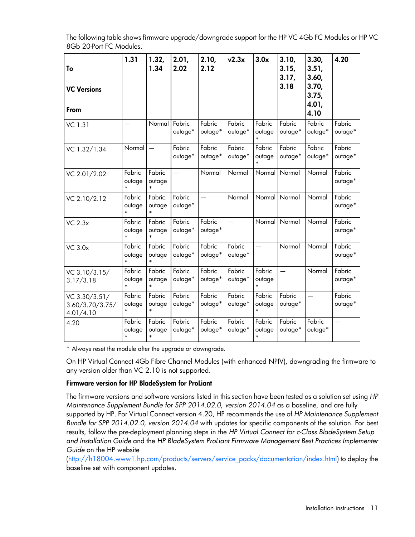| The following table shows firmware upgrade/downgrade support for the HP VC 4Gb FC Modules or HP VC |  |
|----------------------------------------------------------------------------------------------------|--|
| 8Gb 20-Port FC Modules.                                                                            |  |

| To<br><b>VC Versions</b><br>From              | 1.31                       | 1.32,<br>1.34              | 2.01,<br>2.02     | 2.10,<br>2.12     | v2.3x             | 3.0x                       | 3.10,<br>3.15,<br>3.17,<br>3.18 | 3.30,<br>3.51,<br>3.60,<br>3.70,<br>3.75,<br>4.01,<br>4.10 | 4.20              |
|-----------------------------------------------|----------------------------|----------------------------|-------------------|-------------------|-------------------|----------------------------|---------------------------------|------------------------------------------------------------|-------------------|
| VC 1.31                                       |                            | Normal                     | Fabric<br>outage* | Fabric<br>outage* | Fabric<br>outage* | Fabric<br>outage           | Fabric<br>outage*               | Fabric<br>outage*                                          | Fabric<br>outage* |
| VC 1.32/1.34                                  | Normal                     |                            | Fabric<br>outage* | Fabric<br>outage* | Fabric<br>outage* | Fabric<br>outage           | Fabric<br>outage*               | Fabric<br>outage*                                          | Fabric<br>outage* |
| VC 2.01/2.02                                  | Fabric<br>outage           | Fabric<br>outage           |                   | Normal            | Normal            | Normal                     | Normal                          | Normal                                                     | Fabric<br>outage* |
| VC 2.10/2.12                                  | Fabric<br>outage<br>$\ast$ | Fabric<br>outage           | Fabric<br>outage* |                   | Normal            | Normal                     | Normal                          | Normal                                                     | Fabric<br>outage* |
| <b>VC 2.3x</b>                                | Fabric<br>outage<br>$\ast$ | Fabric<br>outage<br>$\ast$ | Fabric<br>outage* | Fabric<br>outage* | $\equiv$          | Normal                     | Normal                          | Normal                                                     | Fabric<br>outage* |
| <b>VC 3.0x</b>                                | Fabric<br>outage<br>$\ast$ | Fabric<br>outage           | Fabric<br>outage* | Fabric<br>outage* | Fabric<br>outage* | $\overline{\phantom{0}}$   | Normal                          | Normal                                                     | Fabric<br>outage* |
| VC 3.10/3.15/<br>3.17/3.18                    | Fabric<br>outage<br>$\ast$ | Fabric<br>outage<br>$\ast$ | Fabric<br>outage* | Fabric<br>outage* | Fabric<br>outage* | Fabric<br>outage<br>$\ast$ |                                 | Normal                                                     | Fabric<br>outage* |
| VC 3.30/3.51/<br>3.60/3.70/3.75/<br>4.01/4.10 | Fabric<br>outage           | Fabric<br>outage<br>$\ast$ | Fabric<br>outage* | Fabric<br>outage* | Fabric<br>outage* | Fabric<br>outage           | Fabric<br>outage*               |                                                            | Fabric<br>outage* |
| 4.20                                          | Fabric<br>outage<br>$\ast$ | Fabric<br>outage<br>$\ast$ | Fabric<br>outage* | Fabric<br>outage* | Fabric<br>outage* | Fabric<br>outage           | Fabric<br>outage*               | Fabric<br>outage*                                          | $\equiv$          |

\* Always reset the module after the upgrade or downgrade.

On HP Virtual Connect 4Gb Fibre Channel Modules (with enhanced NPIV), downgrading the firmware to any version older than VC 2.10 is not supported.

#### Firmware version for HP BladeSystem for ProLiant

The firmware versions and software versions listed in this section have been tested as a solution set using *HP Maintenance Supplement Bundle for SPP 2014.02.0, version 2014.04* as a baseline, and are fully supported by HP. For Virtual Connect version 4.20, HP recommends the use of *HP Maintenance Supplement Bundle for SPP 2014.02.0, version 2014.04* with updates for specific components of the solution. For best results, follow the pre-deployment planning steps in the *HP Virtual Connect for c-Class BladeSystem Setup and Installation Guide* and the *HP BladeSystem ProLiant Firmware Management Best Practices Implementer Guide* on the HP website

[\(http://h18004.www1.hp.com/products/servers/service\\_packs/documentation/index.html\)](http://h18004.www1.hp.com/products/servers/service_packs/documentation/index.html) to deploy the baseline set with component updates.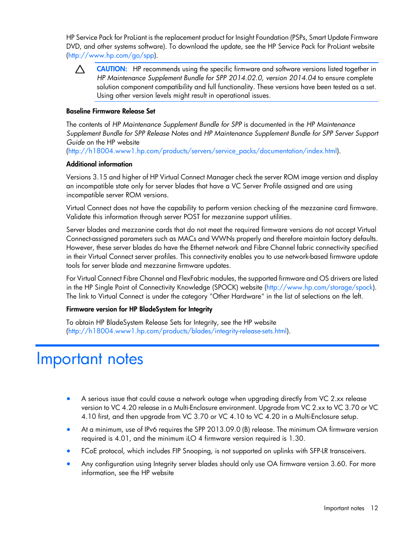<span id="page-11-0"></span>HP Service Pack for ProLiant is the replacement product for Insight Foundation (PSPs, Smart Update Firmware DVD, and other systems software). To download the update, see the HP Service Pack for ProLiant website [\(http://www.hp.com/go/spp\)](http://www.hp.com/go/spp).

CAUTION: HP recommends using the specific firmware and software versions listed together in  $\Lambda$ *HP Maintenance Supplement Bundle for SPP 2014.02.0, version 2014.04* to ensure complete solution component compatibility and full functionality. These versions have been tested as a set. Using other version levels might result in operational issues.

#### Baseline Firmware Release Set

The contents of *HP Maintenance Supplement Bundle for SPP* is documented in the *HP Maintenance Supplement Bundle for SPP Release Notes* and *HP Maintenance Supplement Bundle for SPP Server Support Guide* on the HP website

[\(http://h18004.www1.hp.com/products/servers/service\\_packs/documentation/index.html\)](http://h18004.www1.hp.com/products/servers/service_packs/documentation/index.html).

#### Additional information

Versions 3.15 and higher of HP Virtual Connect Manager check the server ROM image version and display an incompatible state only for server blades that have a VC Server Profile assigned and are using incompatible server ROM versions.

Virtual Connect does not have the capability to perform version checking of the mezzanine card firmware. Validate this information through server POST for mezzanine support utilities.

Server blades and mezzanine cards that do not meet the required firmware versions do not accept Virtual Connect-assigned parameters such as MACs and WWNs properly and therefore maintain factory defaults. However, these server blades do have the Ethernet network and Fibre Channel fabric connectivity specified in their Virtual Connect server profiles. This connectivity enables you to use network-based firmware update tools for server blade and mezzanine firmware updates.

For Virtual Connect Fibre Channel and FlexFabric modules, the supported firmware and OS drivers are listed in the HP Single Point of Connectivity Knowledge (SPOCK) website [\(http://www.hp.com/storage/spock\)](http://www.hp.com/storage/spock). The link to Virtual Connect is under the category "Other Hardware" in the list of selections on the left.

#### Firmware version for HP BladeSystem for Integrity

To obtain HP BladeSystem Release Sets for Integrity, see the HP website [\(http://h18004.www1.hp.com/products/blades/integrity-release-sets.html\)](http://h18004.www1.hp.com/products/blades/integrity-release-sets.html).

### Important notes

- A serious issue that could cause a network outage when upgrading directly from VC 2.xx release version to VC 4.20 release in a Multi-Enclosure environment. Upgrade from VC 2.xx to VC 3.70 or VC 4.10 first, and then upgrade from VC 3.70 or VC 4.10 to VC 4.20 in a Multi-Enclosure setup.
- At a minimum, use of IPv6 requires the SPP 2013.09.0 (B) release. The minimum OA firmware version required is 4.01, and the minimum iLO 4 firmware version required is 1.30.
- FCoE protocol, which includes FIP Snooping, is not supported on uplinks with SFP-LR transceivers.
- Any configuration using Integrity server blades should only use OA firmware version 3.60. For more information, see the HP website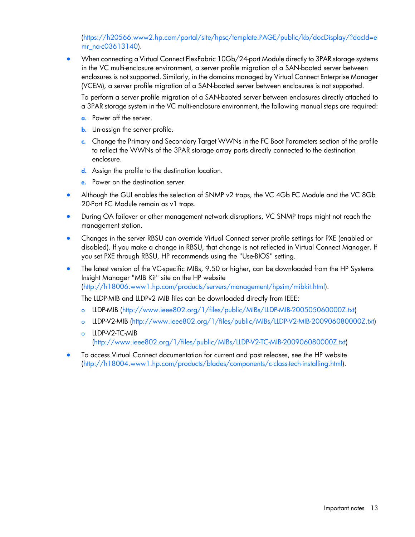[\(https://h20566.www2.hp.com/portal/site/hpsc/template.PAGE/public/kb/docDisplay/?docId=e](https://h20566.www2.hp.com/portal/site/hpsc/template.PAGE/public/kb/docDisplay/?docId=emr_na-c03613140) [mr\\_na-c03613140\)](https://h20566.www2.hp.com/portal/site/hpsc/template.PAGE/public/kb/docDisplay/?docId=emr_na-c03613140).

• When connecting a Virtual Connect FlexFabric 10Gb/24-port Module directly to 3PAR storage systems in the VC multi-enclosure environment, a server profile migration of a SAN-booted server between enclosures is not supported. Similarly, in the domains managed by Virtual Connect Enterprise Manager (VCEM), a server profile migration of a SAN-booted server between enclosures is not supported.

To perform a server profile migration of a SAN-booted server between enclosures directly attached to a 3PAR storage system in the VC multi-enclosure environment, the following manual steps are required:

- a. Power off the server.
- **b.** Un-assign the server profile.
- c. Change the Primary and Secondary Target WWNs in the FC Boot Parameters section of the profile to reflect the WWNs of the 3PAR storage array ports directly connected to the destination enclosure.
- d. Assign the profile to the destination location.
- e. Power on the destination server.
- Although the GUI enables the selection of SNMP v2 traps, the VC 4Gb FC Module and the VC 8Gb 20-Port FC Module remain as v1 traps.
- During OA failover or other management network disruptions, VC SNMP traps might not reach the management station.
- Changes in the server RBSU can override Virtual Connect server profile settings for PXE (enabled or disabled). If you make a change in RBSU, that change is not reflected in Virtual Connect Manager. If you set PXE through RBSU, HP recommends using the "Use-BIOS" setting.

The latest version of the VC-specific MIBs, 9.50 or higher, can be downloaded from the HP Systems Insight Manager "MIB Kit" site on the HP website [\(http://h18006.www1.hp.com/products/servers/management/hpsim/mibkit.html\)](http://h18006.www1.hp.com/products/servers/management/hpsim/mibkit.html).

The LLDP-MIB and LLDPv2 MIB files can be downloaded directly from IEEE:

- o LLDP-MIB [\(http://www.ieee802.org/1/files/public/MIBs/LLDP-MIB-200505060000Z.txt\)](http://www.ieee802.org/1/files/public/MIBs/LLDP-MIB-200505060000Z.txt)
- o LLDP-V2-MIB [\(http://www.ieee802.org/1/files/public/MIBs/LLDP-V2-MIB-200906080000Z.txt\)](http://www.ieee802.org/1/files/public/MIBs/LLDP-V2-MIB-200906080000Z.txt)
- o LLDP-V2-TC-MIB [\(http://www.ieee802.org/1/files/public/MIBs/LLDP-V2-TC-MIB-200906080000Z.txt\)](http://www.ieee802.org/1/files/public/MIBs/LLDP-V2-TC-MIB-200906080000Z.txt)
- To access Virtual Connect documentation for current and past releases, see the HP website [\(http://h18004.www1.hp.com/products/blades/components/c-class-tech-installing.html\)](http://h18004.www1.hp.com/products/blades/components/c-class-tech-installing.html).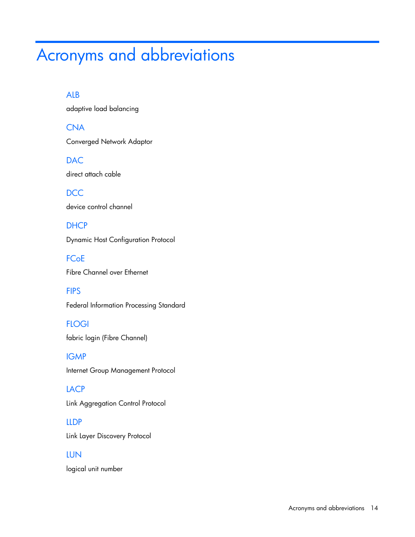# <span id="page-13-0"></span>Acronyms and abbreviations

### ALB

adaptive load balancing

**CNA** Converged Network Adaptor

DAC direct attach cable

**DCC** device control channel

**DHCP** Dynamic Host Configuration Protocol

**FCoE** Fibre Channel over Ethernet

**FIPS** Federal Information Processing Standard

**FLOGI** fabric login (Fibre Channel)

IGMP Internet Group Management Protocol

LACP Link Aggregation Control Protocol

LLDP Link Layer Discovery Protocol

### LUN

logical unit number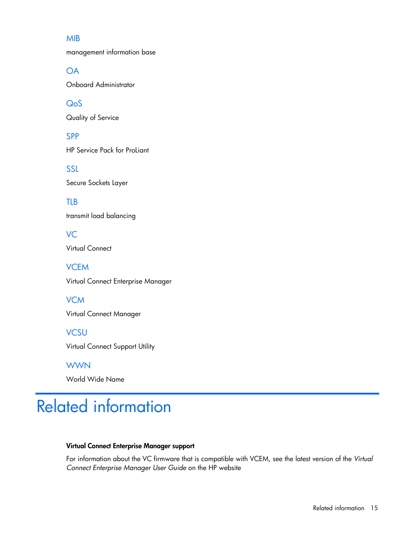### <span id="page-14-0"></span>MIB

**OA** 

SPP

TLB

management information base

Onboard Administrator

QoS Quality of Service

HP Service Pack for ProLiant

SSL Secure Sockets Layer

transmit load balancing

VC Virtual Connect **VCEM** Virtual Connect Enterprise Manager **VCM** Virtual Connect Manager **VCSU** 

Virtual Connect Support Utility

**WWN** World Wide Name

# Related information

#### Virtual Connect Enterprise Manager support

For information about the VC firmware that is compatible with VCEM, see the latest version of the *Virtual Connect Enterprise Manager User Guide* on the HP website